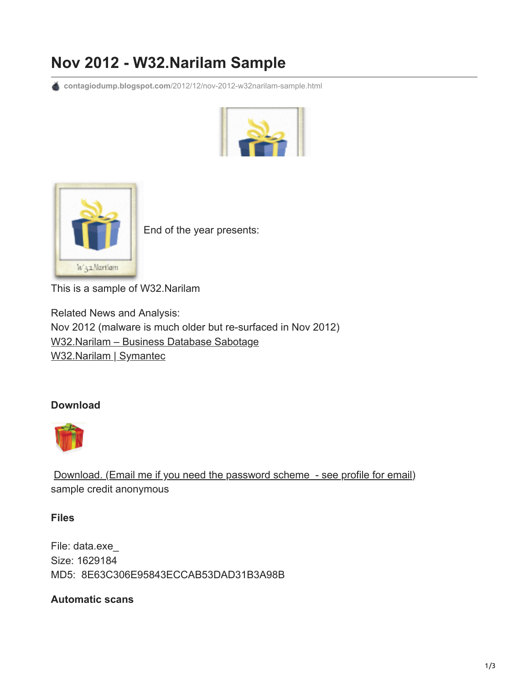## **Nov 2012 - W32.Narilam Sample**

**contagiodump.blogspot.com**[/2012/12/nov-2012-w32narilam-sample.html](http://contagiodump.blogspot.com/2012/12/nov-2012-w32narilam-sample.html)





End of the year presents:

This is a sample of W32.Narilam

Related News and Analysis: Nov 2012 (malware is much older but re-surfaced in Nov 2012) [W32.Narilam – Business Database Sabotage](http://www.symantec.com/connect/blogs/w32narilam-business-database-sabotage) [W32.Narilam | Symantec](http://www.symantec.com/security_response/writeup.jsp?docid=2012-111516-3751-99&om_rssid=sr-latestthreats30days)

## **Download**



[Download. \(Email me if you need the password scheme - see profile for email\)](http://www.mediafire.com/?4irmd7d5ai4dcym) sample credit anonymous

**Files**

File: data.exe\_ Size: 1629184 MD5: 8E63C306E95843ECCAB53DAD31B3A98B

## **Automatic scans**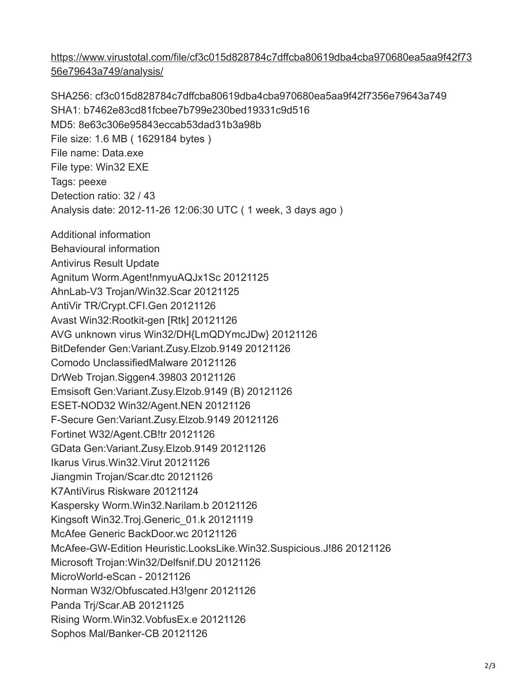[https://www.virustotal.com/file/cf3c015d828784c7dffcba80619dba4cba970680ea5aa9f42f73](https://www.virustotal.com/file/cf3c015d828784c7dffcba80619dba4cba970680ea5aa9f42f7356e79643a749/analysis/) 56e79643a749/analysis/

SHA256: cf3c015d828784c7dffcba80619dba4cba970680ea5aa9f42f7356e79643a749 SHA1: b7462e83cd81fcbee7b799e230bed19331c9d516 MD5: 8e63c306e95843eccab53dad31b3a98b File size: 1.6 MB ( 1629184 bytes ) File name: Data.exe File type: Win32 EXE Tags: peexe Detection ratio: 32 / 43 Analysis date: 2012-11-26 12:06:30 UTC ( 1 week, 3 days ago ) Additional information Behavioural information Antivirus Result Update Agnitum Worm.Agent!nmyuAQJx1Sc 20121125 AhnLab-V3 Trojan/Win32.Scar 20121125 AntiVir TR/Crypt.CFI.Gen 20121126 Avast Win32:Rootkit-gen [Rtk] 20121126 AVG unknown virus Win32/DH{LmQDYmcJDw} 20121126 BitDefender Gen:Variant.Zusy.Elzob.9149 20121126 Comodo UnclassifiedMalware 20121126 DrWeb Trojan.Siggen4.39803 20121126 Emsisoft Gen:Variant.Zusy.Elzob.9149 (B) 20121126 ESET-NOD32 Win32/Agent.NEN 20121126 F-Secure Gen:Variant.Zusy.Elzob.9149 20121126 Fortinet W32/Agent.CB!tr 20121126 GData Gen:Variant.Zusy.Elzob.9149 20121126 Ikarus Virus.Win32.Virut 20121126 Jiangmin Trojan/Scar.dtc 20121126 K7AntiVirus Riskware 20121124 Kaspersky Worm.Win32.Narilam.b 20121126 Kingsoft Win32.Troj.Generic\_01.k 20121119 McAfee Generic BackDoor.wc 20121126 McAfee-GW-Edition Heuristic.LooksLike.Win32.Suspicious.J!86 20121126 Microsoft Trojan:Win32/Delfsnif.DU 20121126 MicroWorld-eScan - 20121126 Norman W32/Obfuscated.H3!genr 20121126 Panda Trj/Scar.AB 20121125 Rising Worm.Win32.VobfusEx.e 20121126 Sophos Mal/Banker-CB 20121126